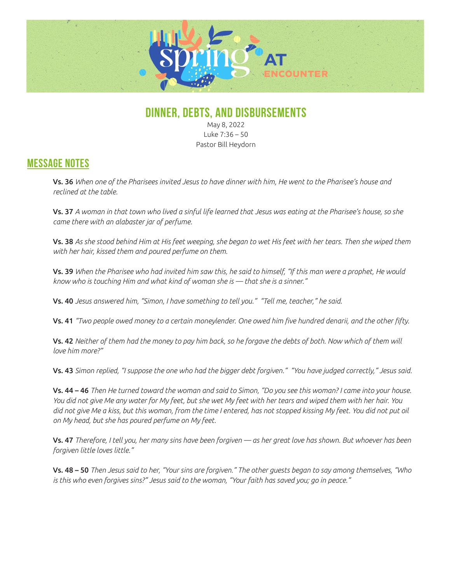

## **DINNER, DEBTS, AND DISBURSEMENTS**

May 8, 2022 Luke 7:36 – 50 Pastor Bill Heydorn

## **MESSAGE NOTES**

Vs. 36 *When one of the Pharisees invited Jesus to have dinner with him, He went to the Pharisee's house and reclined at the table.* 

Vs. 37 *A woman in that town who lived a sinful life learned that Jesus was eating at the Pharisee's house, so she came there with an alabaster jar of perfume.* 

Vs. 38 *As she stood behind Him at His feet weeping, she began to wet His feet with her tears. Then she wiped them with her hair, kissed them and poured perfume on them.*

Vs. 39 *When the Pharisee who had invited him saw this, he said to himself, "If this man were a prophet, He would know who is touching Him and what kind of woman she is — that she is a sinner."*

Vs. 40 *Jesus answered him, "Simon, I have something to tell you." "Tell me, teacher," he said.*

Vs. 41 *"Two people owed money to a certain moneylender. One owed him five hundred denarii, and the other fifty.* 

Vs. 42 *Neither of them had the money to pay him back, so he forgave the debts of both. Now which of them will love him more?"*

Vs. 43 *Simon replied, "I suppose the one who had the bigger debt forgiven." "You have judged correctly," Jesus said.*

Vs. 44 – 46 *Then He turned toward the woman and said to Simon, "Do you see this woman? I came into your house. You did not give Me any water for My feet, but she wet My feet with her tears and wiped them with her hair. You did not give Me a kiss, but this woman, from the time I entered, has not stopped kissing My feet. You did not put oil on My head, but she has poured perfume on My feet.* 

Vs. 47 *Therefore, I tell you, her many sins have been forgiven — as her great love has shown. But whoever has been forgiven little loves little."*

Vs. 48 – 50 *Then Jesus said to her, "Your sins are forgiven." The other guests began to say among themselves, "Who is this who even forgives sins?" Jesus said to the woman, "Your faith has saved you; go in peace."*